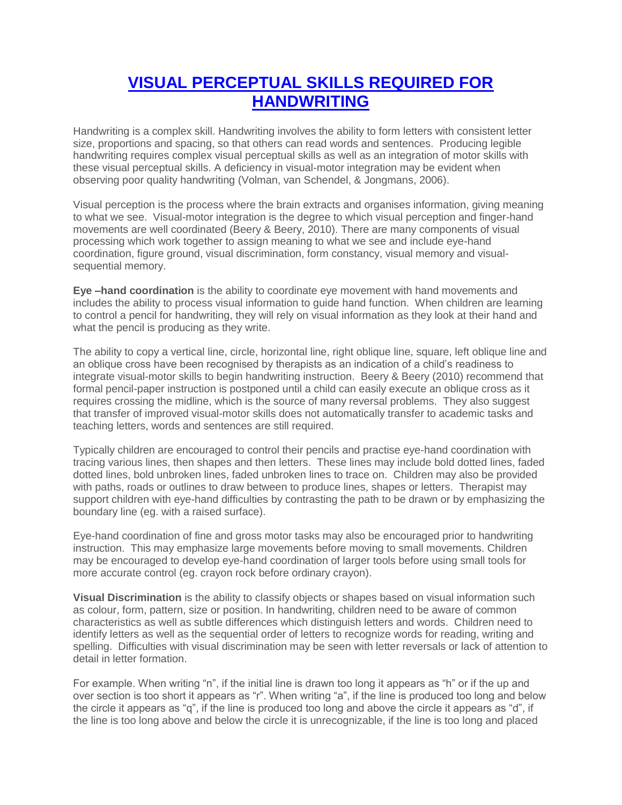## **[VISUAL PERCEPTUAL SKILLS REQUIRED FOR](https://www.yourkidsot.com/blog/visual-perceptual-skills-required-for-handwriting)  [HANDWRITING](https://www.yourkidsot.com/blog/visual-perceptual-skills-required-for-handwriting)**

Handwriting is a complex skill. Handwriting involves the ability to form letters with consistent letter size, proportions and spacing, so that others can read words and sentences. Producing legible handwriting requires complex visual perceptual skills as well as an integration of motor skills with these visual perceptual skills. A deficiency in visual-motor integration may be evident when observing poor quality handwriting (Volman, van Schendel, & Jongmans, 2006).

Visual perception is the process where the brain extracts and organises information, giving meaning to what we see. Visual-motor integration is the degree to which visual perception and finger-hand movements are well coordinated (Beery & Beery, 2010). There are many components of visual processing which work together to assign meaning to what we see and include eye-hand coordination, figure ground, visual discrimination, form constancy, visual memory and visualsequential memory.

**Eye –hand coordination** is the ability to coordinate eye movement with hand movements and includes the ability to process visual information to guide hand function. When children are learning to control a pencil for handwriting, they will rely on visual information as they look at their hand and what the pencil is producing as they write.

The ability to copy a vertical line, circle, horizontal line, right oblique line, square, left oblique line and an oblique cross have been recognised by therapists as an indication of a child's readiness to integrate visual-motor skills to begin handwriting instruction. Beery & Beery (2010) recommend that formal pencil-paper instruction is postponed until a child can easily execute an oblique cross as it requires crossing the midline, which is the source of many reversal problems. They also suggest that transfer of improved visual-motor skills does not automatically transfer to academic tasks and teaching letters, words and sentences are still required.

Typically children are encouraged to control their pencils and practise eye-hand coordination with tracing various lines, then shapes and then letters. These lines may include bold dotted lines, faded dotted lines, bold unbroken lines, faded unbroken lines to trace on. Children may also be provided with paths, roads or outlines to draw between to produce lines, shapes or letters. Therapist may support children with eye-hand difficulties by contrasting the path to be drawn or by emphasizing the boundary line (eg. with a raised surface).

Eye-hand coordination of fine and gross motor tasks may also be encouraged prior to handwriting instruction. This may emphasize large movements before moving to small movements. Children may be encouraged to develop eye-hand coordination of larger tools before using small tools for more accurate control (eg. crayon rock before ordinary crayon).

**Visual Discrimination** is the ability to classify objects or shapes based on visual information such as colour, form, pattern, size or position. In handwriting, children need to be aware of common characteristics as well as subtle differences which distinguish letters and words. Children need to identify letters as well as the sequential order of letters to recognize words for reading, writing and spelling. Difficulties with visual discrimination may be seen with letter reversals or lack of attention to detail in letter formation.

For example. When writing "n", if the initial line is drawn too long it appears as "h" or if the up and over section is too short it appears as "r". When writing "a", if the line is produced too long and below the circle it appears as "q", if the line is produced too long and above the circle it appears as "d", if the line is too long above and below the circle it is unrecognizable, if the line is too long and placed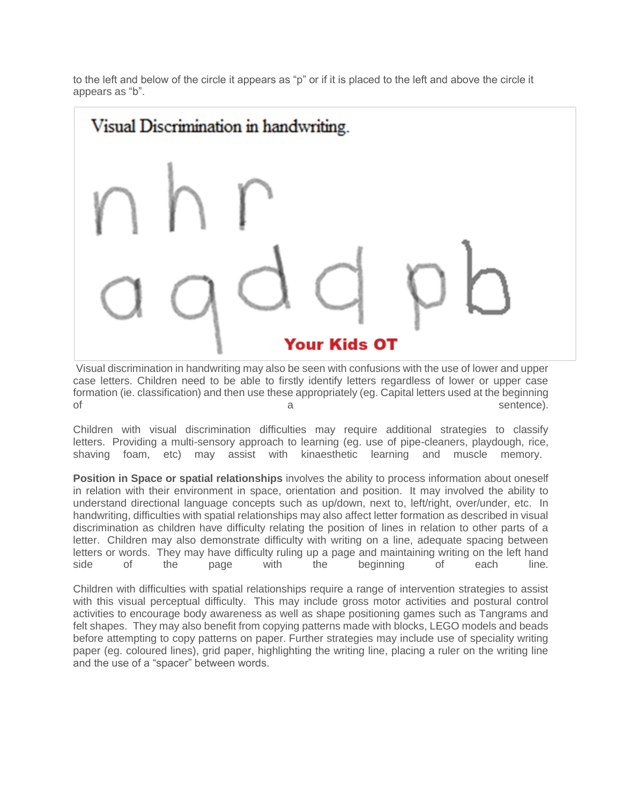to the left and below of the circle it appears as "p" or if it is placed to the left and above the circle it appears as "b".

## Visual Discrimination in handwriting.



Visual discrimination in handwriting may also be seen with confusions with the use of lower and upper case letters. Children need to be able to firstly identify letters regardless of lower or upper case formation (ie. classification) and then use these appropriately (eg. Capital letters used at the beginning of a sentence).

Children with visual discrimination difficulties may require additional strategies to classify letters. Providing a multi-sensory approach to learning (eg. use of pipe-cleaners, playdough, rice, shaving foam, etc) may assist with kinaesthetic learning and muscle memory.

**Position in Space or spatial relationships** involves the ability to process information about oneself in relation with their environment in space, orientation and position. It may involved the ability to understand directional language concepts such as up/down, next to, left/right, over/under, etc. In handwriting, difficulties with spatial relationships may also affect letter formation as described in visual discrimination as children have difficulty relating the position of lines in relation to other parts of a letter. Children may also demonstrate difficulty with writing on a line, adequate spacing between letters or words. They may have difficulty ruling up a page and maintaining writing on the left hand side of the page with the beginning of each line.

Children with difficulties with spatial relationships require a range of intervention strategies to assist with this visual perceptual difficulty. This may include gross motor activities and postural control activities to encourage body awareness as well as shape positioning games such as Tangrams and felt shapes. They may also benefit from copying patterns made with blocks, LEGO models and beads before attempting to copy patterns on paper. Further strategies may include use of speciality writing paper (eg. coloured lines), grid paper, highlighting the writing line, placing a ruler on the writing line and the use of a "spacer" between words.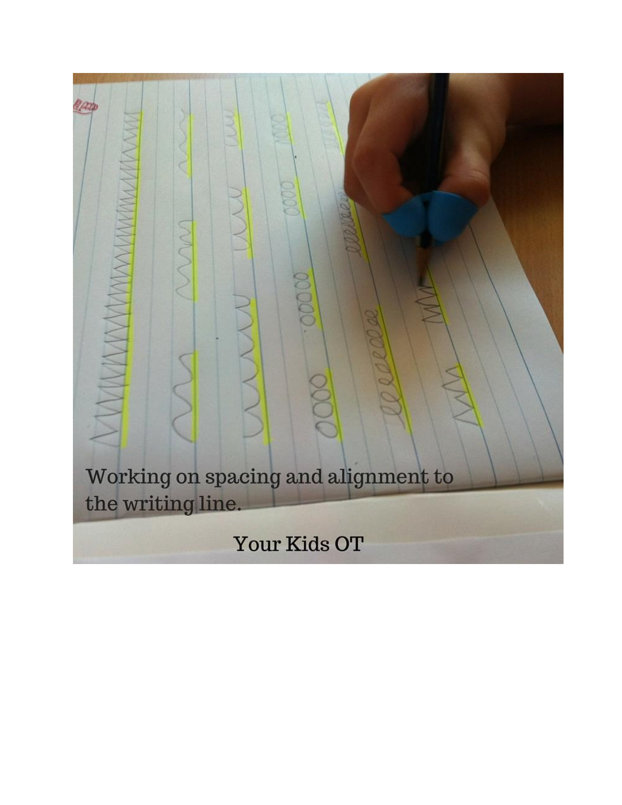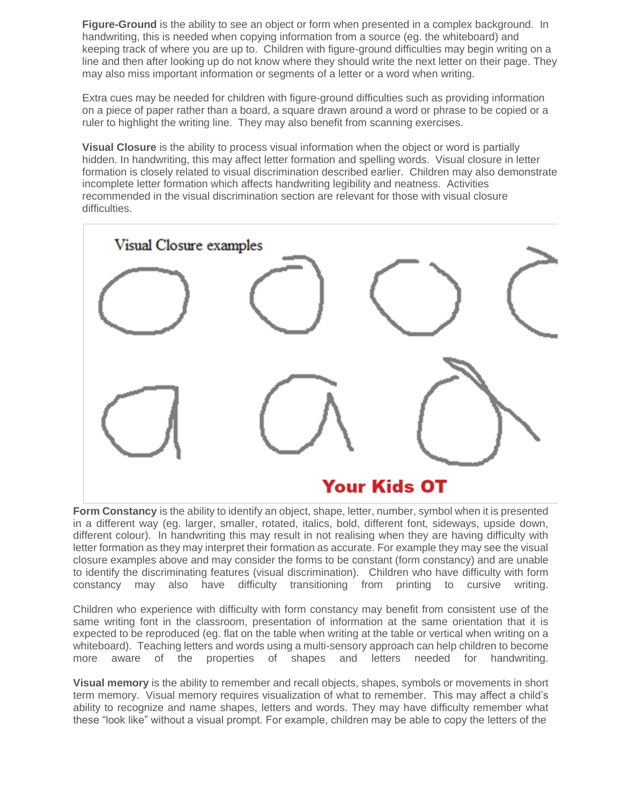**Figure-Ground** is the ability to see an object or form when presented in a complex background. In handwriting, this is needed when copying information from a source (eg. the whiteboard) and keeping track of where you are up to. Children with figure-ground difficulties may begin writing on a line and then after looking up do not know where they should write the next letter on their page. They may also miss important information or segments of a letter or a word when writing.

Extra cues may be needed for children with figure-ground difficulties such as providing information on a piece of paper rather than a board, a square drawn around a word or phrase to be copied or a ruler to highlight the writing line. They may also benefit from scanning exercises.

**Visual Closure** is the ability to process visual information when the object or word is partially hidden. In handwriting, this may affect letter formation and spelling words. Visual closure in letter formation is closely related to visual discrimination described earlier. Children may also demonstrate incomplete letter formation which affects handwriting legibility and neatness. Activities recommended in the visual discrimination section are relevant for those with visual closure difficulties.



## **Your Kids OT**

**Form Constancy** is the ability to identify an object, shape, letter, number, symbol when it is presented in a different way (eg. larger, smaller, rotated, italics, bold, different font, sideways, upside down, different colour). In handwriting this may result in not realising when they are having difficulty with letter formation as they may interpret their formation as accurate. For example they may see the visual closure examples above and may consider the forms to be constant (form constancy) and are unable to identify the discriminating features (visual discrimination). Children who have difficulty with form constancy may also have difficulty transitioning from printing to cursive writing.

Children who experience with difficulty with form constancy may benefit from consistent use of the same writing font in the classroom, presentation of information at the same orientation that it is expected to be reproduced (eg. flat on the table when writing at the table or vertical when writing on a whiteboard). Teaching letters and words using a multi-sensory approach can help children to become more aware of the properties of shapes and letters needed for handwriting.

**Visual memory** is the ability to remember and recall objects, shapes, symbols or movements in short term memory. Visual memory requires visualization of what to remember. This may affect a child's ability to recognize and name shapes, letters and words. They may have difficulty remember what these "look like" without a visual prompt. For example, children may be able to copy the letters of the